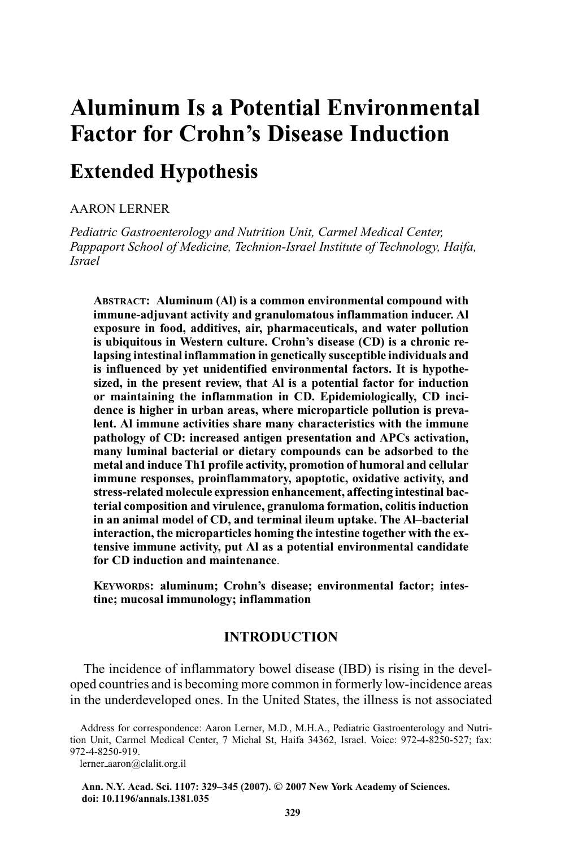# **Aluminum Is a Potential Environmental Factor for Crohn's Disease Induction**

# **Extended Hypothesis**

AARON LERNER

*Pediatric Gastroenterology and Nutrition Unit, Carmel Medical Center, Pappaport School of Medicine, Technion-Israel Institute of Technology, Haifa, Israel*

**ABSTRACT: Aluminum (Al) is a common environmental compound with immune-adjuvant activity and granulomatous inflammation inducer. Al exposure in food, additives, air, pharmaceuticals, and water pollution is ubiquitous in Western culture. Crohn's disease (CD) is a chronic relapsing intestinal inflammation in genetically susceptible individuals and is influenced by yet unidentified environmental factors. It is hypothesized, in the present review, that Al is a potential factor for induction or maintaining the inflammation in CD. Epidemiologically, CD incidence is higher in urban areas, where microparticle pollution is prevalent. Al immune activities share many characteristics with the immune pathology of CD: increased antigen presentation and APCs activation, many luminal bacterial or dietary compounds can be adsorbed to the metal and induce Th1 profile activity, promotion of humoral and cellular immune responses, proinflammatory, apoptotic, oxidative activity, and stress-related molecule expression enhancement, affecting intestinal bacterial composition and virulence, granuloma formation, colitis induction in an animal model of CD, and terminal ileum uptake. The Al–bacterial interaction, the microparticles homing the intestine together with the extensive immune activity, put Al as a potential environmental candidate for CD induction and maintenance**.

**KEYWORDS: aluminum; Crohn's disease; environmental factor; intestine; mucosal immunology; inflammation**

# **INTRODUCTION**

The incidence of inflammatory bowel disease (IBD) is rising in the developed countries and is becoming more common in formerly low-incidence areas in the underdeveloped ones. In the United States, the illness is not associated

lerner aaron@clalit.org.il

**Ann. N.Y. Acad. Sci. 1107: 329–345 (2007).** *-***<sup>C</sup> 2007 New York Academy of Sciences. doi: 10.1196/annals.1381.035**

Address for correspondence: Aaron Lerner, M.D., M.H.A., Pediatric Gastroenterology and Nutrition Unit, Carmel Medical Center, 7 Michal St, Haifa 34362, Israel. Voice: 972-4-8250-527; fax: 972-4-8250-919.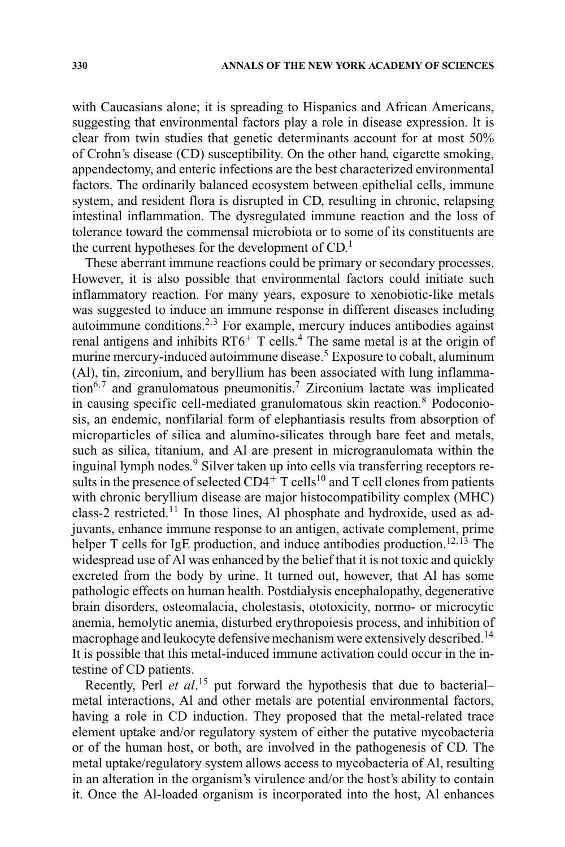with Caucasians alone; it is spreading to Hispanics and African Americans, suggesting that environmental factors play a role in disease expression. It is clear from twin studies that genetic determinants account for at most 50% of Crohn's disease (CD) susceptibility. On the other hand, cigarette smoking, appendectomy, and enteric infections are the best characterized environmental factors. The ordinarily balanced ecosystem between epithelial cells, immune system, and resident flora is disrupted in CD, resulting in chronic, relapsing intestinal inflammation. The dysregulated immune reaction and the loss of tolerance toward the commensal microbiota or to some of its constituents are the current hypotheses for the development of  $CD<sup>1</sup>$ .

These aberrant immune reactions could be primary or secondary processes. However, it is also possible that environmental factors could initiate such inflammatory reaction. For many years, exposure to xenobiotic-like metals was suggested to induce an immune response in different diseases including autoimmune conditions.<sup>2</sup>,<sup>3</sup> For example, mercury induces antibodies against renal antigens and inhibits  $RT6$ <sup>+</sup> T cells.<sup>4</sup> The same metal is at the origin of murine mercury-induced autoimmune disease.<sup>5</sup> Exposure to cobalt, aluminum (Al), tin, zirconium, and beryllium has been associated with lung inflammation6,<sup>7</sup> and granulomatous pneumonitis.<sup>7</sup> Zirconium lactate was implicated in causing specific cell-mediated granulomatous skin reaction.<sup>8</sup> Podoconiosis, an endemic, nonfilarial form of elephantiasis results from absorption of microparticles of silica and alumino-silicates through bare feet and metals, such as silica, titanium, and Al are present in microgranulomata within the inguinal lymph nodes.<sup>9</sup> Silver taken up into cells via transferring receptors results in the presence of selected  $CD4^+$  T cells<sup>10</sup> and T cell clones from patients with chronic beryllium disease are major histocompatibility complex (MHC) class-2 restricted.<sup>11</sup> In those lines, Al phosphate and hydroxide, used as adjuvants, enhance immune response to an antigen, activate complement, prime helper T cells for IgE production, and induce antibodies production.<sup>12,13</sup> The widespread use of Al was enhanced by the belief that it is not toxic and quickly excreted from the body by urine. It turned out, however, that Al has some pathologic effects on human health. Postdialysis encephalopathy, degenerative brain disorders, osteomalacia, cholestasis, ototoxicity, normo- or microcytic anemia, hemolytic anemia, disturbed erythropoiesis process, and inhibition of macrophage and leukocyte defensive mechanism were extensively described.<sup>14</sup> It is possible that this metal-induced immune activation could occur in the intestine of CD patients.

Recently, Perl *et al.*<sup>15</sup> put forward the hypothesis that due to bacterial– metal interactions, Al and other metals are potential environmental factors, having a role in CD induction. They proposed that the metal-related trace element uptake and/or regulatory system of either the putative mycobacteria or of the human host, or both, are involved in the pathogenesis of CD. The metal uptake/regulatory system allows access to mycobacteria of Al, resulting in an alteration in the organism's virulence and/or the host's ability to contain it. Once the Al-loaded organism is incorporated into the host, Al enhances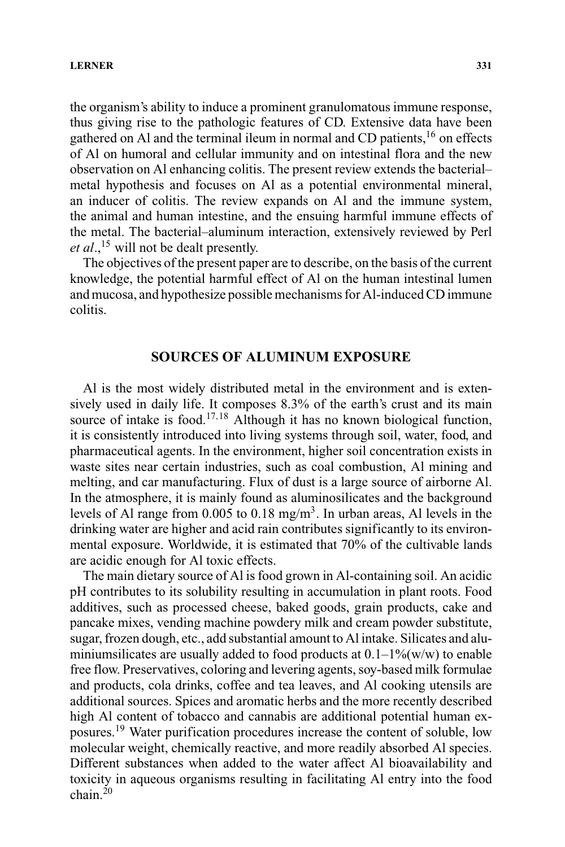the organism's ability to induce a prominent granulomatous immune response, thus giving rise to the pathologic features of CD. Extensive data have been gathered on Al and the terminal ileum in normal and CD patients,16 on effects of Al on humoral and cellular immunity and on intestinal flora and the new observation on Al enhancing colitis. The present review extends the bacterial– metal hypothesis and focuses on Al as a potential environmental mineral, an inducer of colitis. The review expands on Al and the immune system, the animal and human intestine, and the ensuing harmful immune effects of the metal. The bacterial–aluminum interaction, extensively reviewed by Perl et al.,<sup>15</sup> will not be dealt presently.

The objectives of the present paper are to describe, on the basis of the current knowledge, the potential harmful effect of Al on the human intestinal lumen and mucosa, and hypothesize possible mechanisms for Al-induced CD immune colitis.

# **SOURCES OF ALUMINUM EXPOSURE**

Al is the most widely distributed metal in the environment and is extensively used in daily life. It composes 8.3% of the earth's crust and its main source of intake is food.<sup>17,18</sup> Although it has no known biological function, it is consistently introduced into living systems through soil, water, food, and pharmaceutical agents. In the environment, higher soil concentration exists in waste sites near certain industries, such as coal combustion, Al mining and melting, and car manufacturing. Flux of dust is a large source of airborne Al. In the atmosphere, it is mainly found as aluminosilicates and the background levels of Al range from  $0.005$  to  $0.18$  mg/m<sup>3</sup>. In urban areas, Al levels in the drinking water are higher and acid rain contributes significantly to its environmental exposure. Worldwide, it is estimated that 70% of the cultivable lands are acidic enough for Al toxic effects.

The main dietary source of Al is food grown in Al-containing soil. An acidic pH contributes to its solubility resulting in accumulation in plant roots. Food additives, such as processed cheese, baked goods, grain products, cake and pancake mixes, vending machine powdery milk and cream powder substitute, sugar, frozen dough, etc., add substantial amount to Al intake. Silicates and aluminiumsilicates are usually added to food products at  $0.1-1\%$  (w/w) to enable free flow. Preservatives, coloring and levering agents, soy-based milk formulae and products, cola drinks, coffee and tea leaves, and Al cooking utensils are additional sources. Spices and aromatic herbs and the more recently described high Al content of tobacco and cannabis are additional potential human exposures.<sup>19</sup> Water purification procedures increase the content of soluble, low molecular weight, chemically reactive, and more readily absorbed Al species. Different substances when added to the water affect Al bioavailability and toxicity in aqueous organisms resulting in facilitating Al entry into the food  $chain$ <sup>20</sup>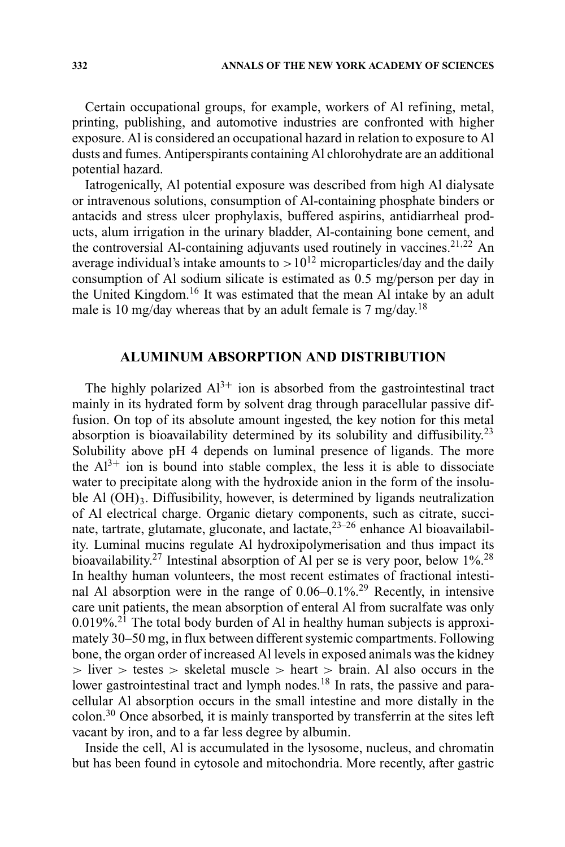Certain occupational groups, for example, workers of Al refining, metal, printing, publishing, and automotive industries are confronted with higher exposure. Al is considered an occupational hazard in relation to exposure to Al dusts and fumes. Antiperspirants containing Al chlorohydrate are an additional potential hazard.

Iatrogenically, Al potential exposure was described from high Al dialysate or intravenous solutions, consumption of Al-containing phosphate binders or antacids and stress ulcer prophylaxis, buffered aspirins, antidiarrheal products, alum irrigation in the urinary bladder, Al-containing bone cement, and the controversial Al-containing adjuvants used routinely in vaccines.<sup>21,22</sup> An average individual's intake amounts to  $>10^{12}$  microparticles/day and the daily consumption of Al sodium silicate is estimated as 0.5 mg/person per day in the United Kingdom.<sup>16</sup> It was estimated that the mean Al intake by an adult male is 10 mg/day whereas that by an adult female is 7 mg/day.<sup>18</sup>

# **ALUMINUM ABSORPTION AND DISTRIBUTION**

The highly polarized  $Al^{3+}$  ion is absorbed from the gastrointestinal tract mainly in its hydrated form by solvent drag through paracellular passive diffusion. On top of its absolute amount ingested, the key notion for this metal absorption is bioavailability determined by its solubility and diffusibility.<sup>23</sup> Solubility above pH 4 depends on luminal presence of ligands. The more the  $Al^{3+}$  ion is bound into stable complex, the less it is able to dissociate water to precipitate along with the hydroxide anion in the form of the insoluble Al (OH)<sub>3</sub>. Diffusibility, however, is determined by ligands neutralization of Al electrical charge. Organic dietary components, such as citrate, succinate, tartrate, glutamate, gluconate, and lactate, $2^{3-26}$  enhance Al bioavailability. Luminal mucins regulate Al hydroxipolymerisation and thus impact its bioavailability.<sup>27</sup> Intestinal absorption of Al per se is very poor, below 1%<sup>28</sup> In healthy human volunteers, the most recent estimates of fractional intestinal Al absorption were in the range of 0.06–0.1%.29 Recently, in intensive care unit patients, the mean absorption of enteral Al from sucralfate was only  $0.019\%$ <sup>21</sup>. The total body burden of Al in healthy human subjects is approximately 30–50 mg, in flux between different systemic compartments. Following bone, the organ order of increased Al levels in exposed animals was the kidney > liver > testes > skeletal muscle > heart > brain. Al also occurs in the lower gastrointestinal tract and lymph nodes.<sup>18</sup> In rats, the passive and paracellular Al absorption occurs in the small intestine and more distally in the colon.<sup>30</sup> Once absorbed, it is mainly transported by transferrin at the sites left vacant by iron, and to a far less degree by albumin.

Inside the cell, Al is accumulated in the lysosome, nucleus, and chromatin but has been found in cytosole and mitochondria. More recently, after gastric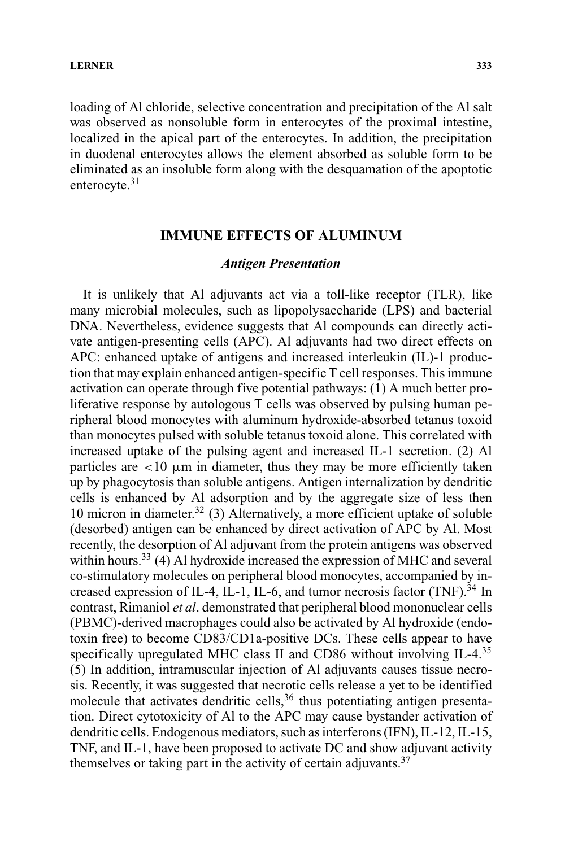loading of Al chloride, selective concentration and precipitation of the Al salt was observed as nonsoluble form in enterocytes of the proximal intestine, localized in the apical part of the enterocytes. In addition, the precipitation in duodenal enterocytes allows the element absorbed as soluble form to be eliminated as an insoluble form along with the desquamation of the apoptotic enterocyte.<sup>31</sup>

# **IMMUNE EFFECTS OF ALUMINUM**

#### *Antigen Presentation*

It is unlikely that Al adjuvants act via a toll-like receptor (TLR), like many microbial molecules, such as lipopolysaccharide (LPS) and bacterial DNA. Nevertheless, evidence suggests that Al compounds can directly activate antigen-presenting cells (APC). Al adjuvants had two direct effects on APC: enhanced uptake of antigens and increased interleukin (IL)-1 production that may explain enhanced antigen-specific T cell responses. This immune activation can operate through five potential pathways: (1) A much better proliferative response by autologous T cells was observed by pulsing human peripheral blood monocytes with aluminum hydroxide-absorbed tetanus toxoid than monocytes pulsed with soluble tetanus toxoid alone. This correlated with increased uptake of the pulsing agent and increased IL-1 secretion. (2) Al particles are  $\lt 10$   $\mu$ m in diameter, thus they may be more efficiently taken up by phagocytosis than soluble antigens. Antigen internalization by dendritic cells is enhanced by Al adsorption and by the aggregate size of less then 10 micron in diameter.<sup>32</sup> (3) Alternatively, a more efficient uptake of soluble (desorbed) antigen can be enhanced by direct activation of APC by Al. Most recently, the desorption of Al adjuvant from the protein antigens was observed within hours.<sup>33</sup> (4) Al hydroxide increased the expression of MHC and several co-stimulatory molecules on peripheral blood monocytes, accompanied by increased expression of IL-4, IL-1, IL-6, and tumor necrosis factor  $(TNF)$ .<sup>34</sup> In contrast, Rimaniol *et al*. demonstrated that peripheral blood mononuclear cells (PBMC)-derived macrophages could also be activated by Al hydroxide (endotoxin free) to become CD83/CD1a-positive DCs. These cells appear to have specifically upregulated MHC class II and CD86 without involving IL-4.<sup>35</sup> (5) In addition, intramuscular injection of Al adjuvants causes tissue necrosis. Recently, it was suggested that necrotic cells release a yet to be identified molecule that activates dendritic cells,<sup>36</sup> thus potentiating antigen presentation. Direct cytotoxicity of Al to the APC may cause bystander activation of dendritic cells. Endogenous mediators, such as interferons (IFN), IL-12, IL-15, TNF, and IL-1, have been proposed to activate DC and show adjuvant activity themselves or taking part in the activity of certain adjuvants.<sup>37</sup>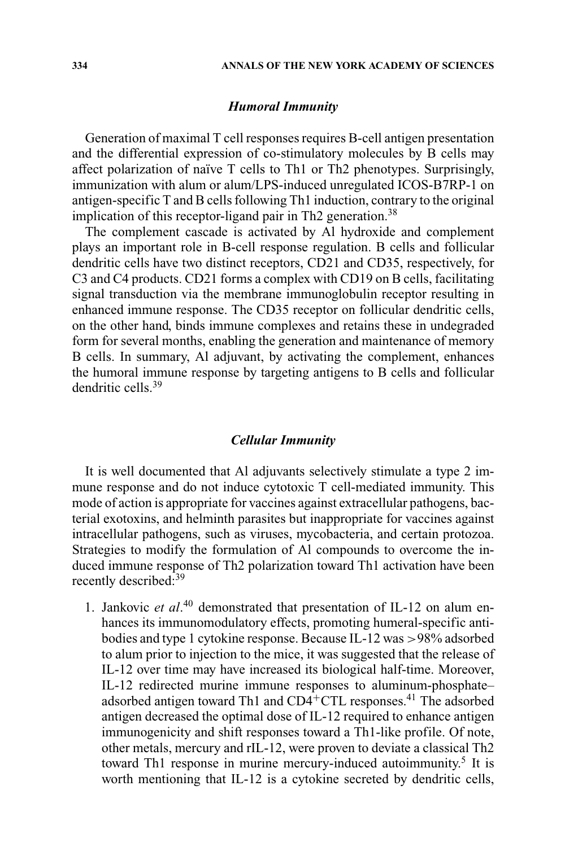# *Humoral Immunity*

Generation of maximal T cell responses requires B-cell antigen presentation and the differential expression of co-stimulatory molecules by B cells may affect polarization of naïve T cells to Th1 or Th2 phenotypes. Surprisingly, immunization with alum or alum/LPS-induced unregulated ICOS-B7RP-1 on antigen-specific T and B cells following Th1 induction, contrary to the original implication of this receptor-ligand pair in Th2 generation.<sup>38</sup>

The complement cascade is activated by Al hydroxide and complement plays an important role in B-cell response regulation. B cells and follicular dendritic cells have two distinct receptors, CD21 and CD35, respectively, for C3 and C4 products. CD21 forms a complex with CD19 on B cells, facilitating signal transduction via the membrane immunoglobulin receptor resulting in enhanced immune response. The CD35 receptor on follicular dendritic cells, on the other hand, binds immune complexes and retains these in undegraded form for several months, enabling the generation and maintenance of memory B cells. In summary, Al adjuvant, by activating the complement, enhances the humoral immune response by targeting antigens to B cells and follicular dendritic cells<sup>39</sup>

#### *Cellular Immunity*

It is well documented that Al adjuvants selectively stimulate a type 2 immune response and do not induce cytotoxic T cell-mediated immunity. This mode of action is appropriate for vaccines against extracellular pathogens, bacterial exotoxins, and helminth parasites but inappropriate for vaccines against intracellular pathogens, such as viruses, mycobacteria, and certain protozoa. Strategies to modify the formulation of Al compounds to overcome the induced immune response of Th2 polarization toward Th1 activation have been recently described:<sup>39</sup>

1. Jankovic *et al*. <sup>40</sup> demonstrated that presentation of IL-12 on alum enhances its immunomodulatory effects, promoting humeral-specific antibodies and type 1 cytokine response. Because IL-12 was >98% adsorbed to alum prior to injection to the mice, it was suggested that the release of IL-12 over time may have increased its biological half-time. Moreover, IL-12 redirected murine immune responses to aluminum-phosphate– adsorbed antigen toward Th1 and CD4+CTL responses.41 The adsorbed antigen decreased the optimal dose of IL-12 required to enhance antigen immunogenicity and shift responses toward a Th1-like profile. Of note, other metals, mercury and rIL-12, were proven to deviate a classical Th2 toward Th1 response in murine mercury-induced autoimmunity.<sup>5</sup> It is worth mentioning that IL-12 is a cytokine secreted by dendritic cells,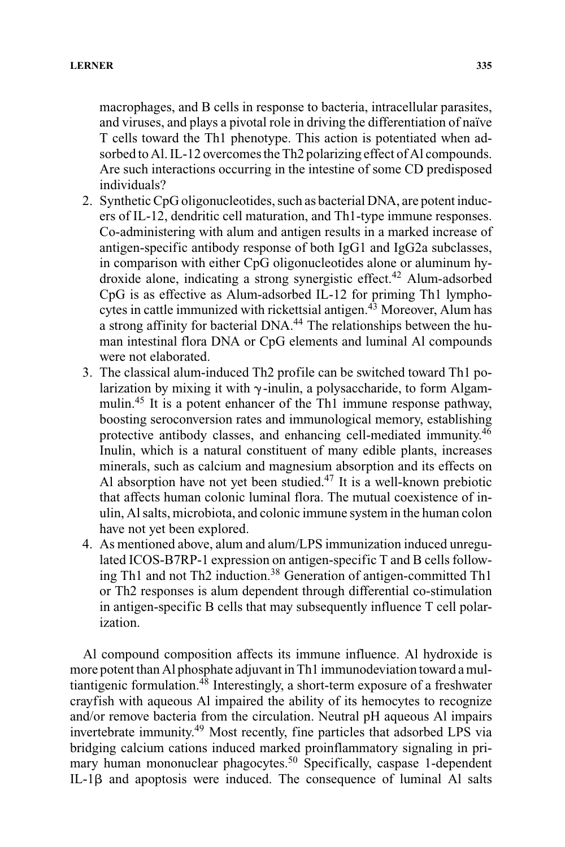macrophages, and B cells in response to bacteria, intracellular parasites, and viruses, and plays a pivotal role in driving the differentiation of naïve T cells toward the Th1 phenotype. This action is potentiated when adsorbed to Al. IL-12 overcomes the Th2 polarizing effect of Al compounds. Are such interactions occurring in the intestine of some CD predisposed individuals?

- 2. Synthetic CpG oligonucleotides, such as bacterial DNA, are potent inducers of IL-12, dendritic cell maturation, and Th1-type immune responses. Co-administering with alum and antigen results in a marked increase of antigen-specific antibody response of both IgG1 and IgG2a subclasses, in comparison with either CpG oligonucleotides alone or aluminum hydroxide alone, indicating a strong synergistic effect.<sup>42</sup> Alum-adsorbed CpG is as effective as Alum-adsorbed IL-12 for priming Th1 lymphocytes in cattle immunized with rickettsial antigen.<sup>43</sup> Moreover, Alum has a strong affinity for bacterial DNA.<sup>44</sup> The relationships between the human intestinal flora DNA or CpG elements and luminal Al compounds were not elaborated.
- 3. The classical alum-induced Th2 profile can be switched toward Th1 polarization by mixing it with  $\gamma$ -inulin, a polysaccharide, to form Algammulin.<sup>45</sup> It is a potent enhancer of the Th1 immune response pathway, boosting seroconversion rates and immunological memory, establishing protective antibody classes, and enhancing cell-mediated immunity. $4\overline{6}$ Inulin, which is a natural constituent of many edible plants, increases minerals, such as calcium and magnesium absorption and its effects on Al absorption have not yet been studied.<sup>47</sup> It is a well-known prebiotic that affects human colonic luminal flora. The mutual coexistence of inulin, Al salts, microbiota, and colonic immune system in the human colon have not yet been explored.
- 4. As mentioned above, alum and alum/LPS immunization induced unregulated ICOS-B7RP-1 expression on antigen-specific T and B cells following Th1 and not Th2 induction.<sup>38</sup> Generation of antigen-committed Th1 or Th2 responses is alum dependent through differential co-stimulation in antigen-specific B cells that may subsequently influence T cell polarization.

Al compound composition affects its immune influence. Al hydroxide is more potent than Al phosphate adjuvant in Th1 immunodeviation toward a multiantigenic formulation.<sup>48</sup> Interestingly, a short-term exposure of a freshwater crayfish with aqueous Al impaired the ability of its hemocytes to recognize and/or remove bacteria from the circulation. Neutral pH aqueous Al impairs invertebrate immunity.<sup>49</sup> Most recently, fine particles that adsorbed LPS via bridging calcium cations induced marked proinflammatory signaling in primary human mononuclear phagocytes.<sup>50</sup> Specifically, caspase 1-dependent  $IL-1\beta$  and apoptosis were induced. The consequence of luminal Al salts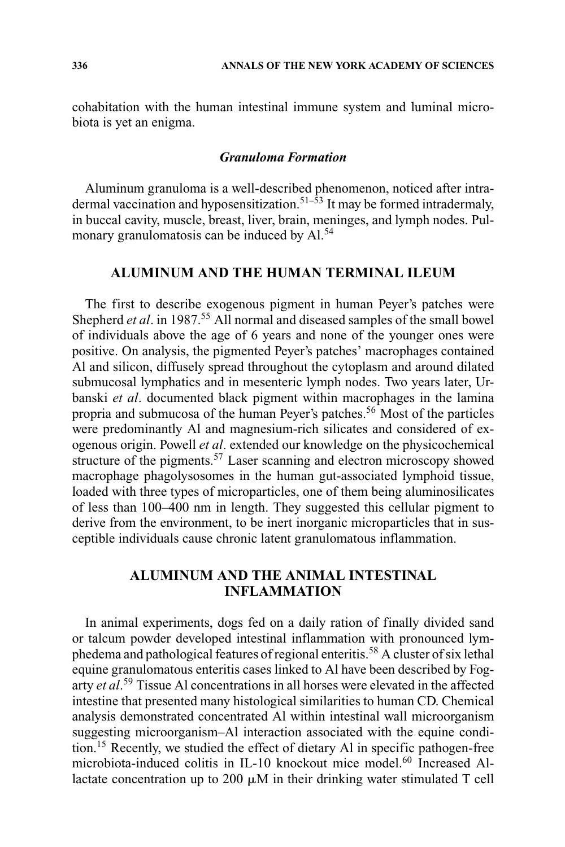cohabitation with the human intestinal immune system and luminal microbiota is yet an enigma.

# *Granuloma Formation*

Aluminum granuloma is a well-described phenomenon, noticed after intradermal vaccination and hyposensitization.<sup>51–53</sup> It may be formed intradermaly, in buccal cavity, muscle, breast, liver, brain, meninges, and lymph nodes. Pulmonary granulomatosis can be induced by Al.<sup>54</sup>

# **ALUMINUM AND THE HUMAN TERMINAL ILEUM**

The first to describe exogenous pigment in human Peyer's patches were Shepherd *et al.* in 1987.<sup>55</sup> All normal and diseased samples of the small bowel of individuals above the age of 6 years and none of the younger ones were positive. On analysis, the pigmented Peyer's patches' macrophages contained Al and silicon, diffusely spread throughout the cytoplasm and around dilated submucosal lymphatics and in mesenteric lymph nodes. Two years later, Urbanski *et al*. documented black pigment within macrophages in the lamina propria and submucosa of the human Peyer's patches.<sup>56</sup> Most of the particles were predominantly Al and magnesium-rich silicates and considered of exogenous origin. Powell *et al*. extended our knowledge on the physicochemical structure of the pigments.<sup>57</sup> Laser scanning and electron microscopy showed macrophage phagolysosomes in the human gut-associated lymphoid tissue, loaded with three types of microparticles, one of them being aluminosilicates of less than 100–400 nm in length. They suggested this cellular pigment to derive from the environment, to be inert inorganic microparticles that in susceptible individuals cause chronic latent granulomatous inflammation.

# **ALUMINUM AND THE ANIMAL INTESTINAL INFLAMMATION**

In animal experiments, dogs fed on a daily ration of finally divided sand or talcum powder developed intestinal inflammation with pronounced lymphedema and pathological features of regional enteritis.<sup>58</sup> A cluster of six lethal equine granulomatous enteritis cases linked to Al have been described by Fogarty *et al*. <sup>59</sup> Tissue Al concentrations in all horses were elevated in the affected intestine that presented many histological similarities to human CD. Chemical analysis demonstrated concentrated Al within intestinal wall microorganism suggesting microorganism–Al interaction associated with the equine condition.<sup>15</sup> Recently, we studied the effect of dietary Al in specific pathogen-free microbiota-induced colitis in IL-10 knockout mice model.<sup>60</sup> Increased Allactate concentration up to 200  $\mu$ M in their drinking water stimulated T cell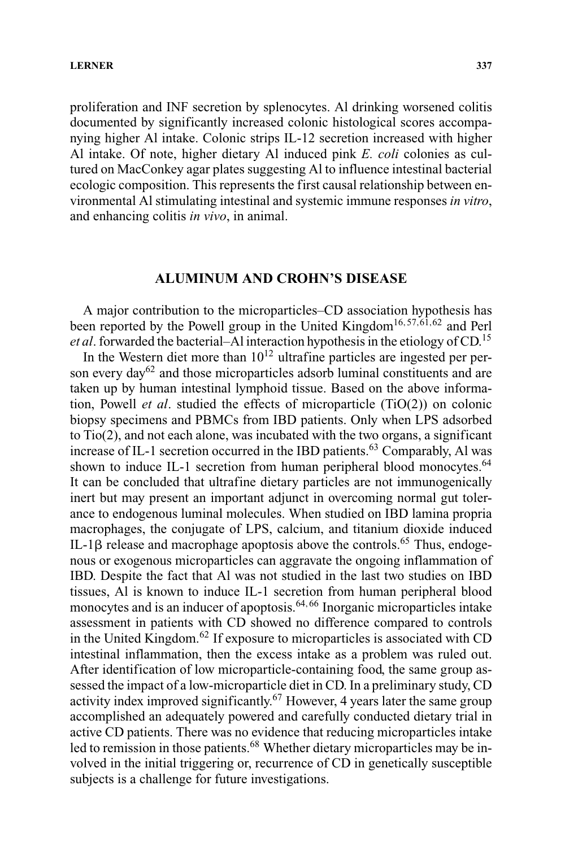proliferation and INF secretion by splenocytes. Al drinking worsened colitis documented by significantly increased colonic histological scores accompanying higher Al intake. Colonic strips IL-12 secretion increased with higher Al intake. Of note, higher dietary Al induced pink *E. coli* colonies as cultured on MacConkey agar plates suggesting Al to influence intestinal bacterial ecologic composition. This represents the first causal relationship between environmental Al stimulating intestinal and systemic immune responses *in vitro*, and enhancing colitis *in vivo*, in animal.

# **ALUMINUM AND CROHN'S DISEASE**

A major contribution to the microparticles–CD association hypothesis has been reported by the Powell group in the United Kingdom<sup>16,57,61,62</sup> and Perl *et al*. forwarded the bacterial–Al interaction hypothesis in the etiology of CD.<sup>15</sup>

In the Western diet more than  $10^{12}$  ultrafine particles are ingested per person every day<sup>62</sup> and those microparticles adsorb luminal constituents and are taken up by human intestinal lymphoid tissue. Based on the above information, Powell *et al*. studied the effects of microparticle (TiO(2)) on colonic biopsy specimens and PBMCs from IBD patients. Only when LPS adsorbed to Tio(2), and not each alone, was incubated with the two organs, a significant increase of IL-1 secretion occurred in the IBD patients.<sup>63</sup> Comparably, Al was shown to induce IL-1 secretion from human peripheral blood monocytes.<sup>64</sup> It can be concluded that ultrafine dietary particles are not immunogenically inert but may present an important adjunct in overcoming normal gut tolerance to endogenous luminal molecules. When studied on IBD lamina propria macrophages, the conjugate of LPS, calcium, and titanium dioxide induced IL-1 $\beta$  release and macrophage apoptosis above the controls.<sup>65</sup> Thus, endogenous or exogenous microparticles can aggravate the ongoing inflammation of IBD. Despite the fact that Al was not studied in the last two studies on IBD tissues, Al is known to induce IL-1 secretion from human peripheral blood monocytes and is an inducer of apoptosis. $64,66$  Inorganic microparticles intake assessment in patients with CD showed no difference compared to controls in the United Kingdom. $62$  If exposure to microparticles is associated with CD intestinal inflammation, then the excess intake as a problem was ruled out. After identification of low microparticle-containing food, the same group assessed the impact of a low-microparticle diet in CD. In a preliminary study, CD activity index improved significantly.<sup>67</sup> However, 4 years later the same group accomplished an adequately powered and carefully conducted dietary trial in active CD patients. There was no evidence that reducing microparticles intake led to remission in those patients.<sup>68</sup> Whether dietary microparticles may be involved in the initial triggering or, recurrence of CD in genetically susceptible subjects is a challenge for future investigations.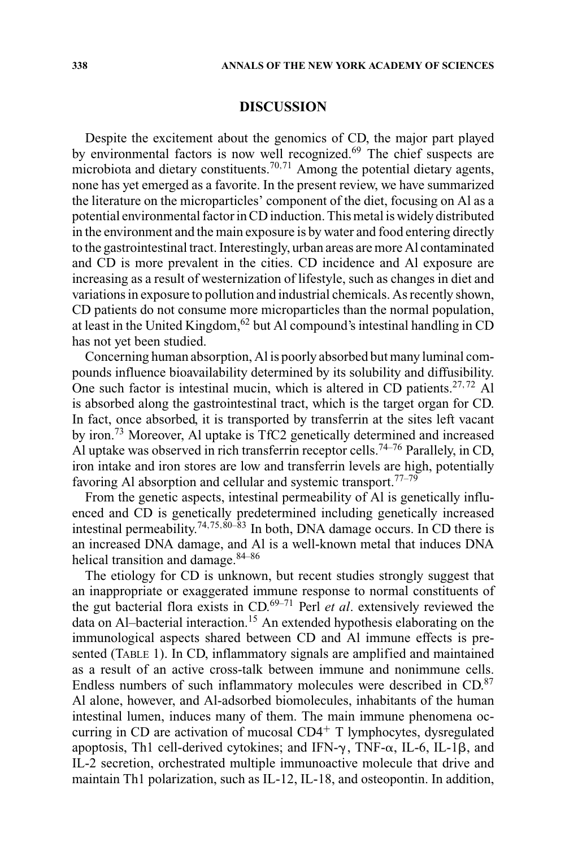# **DISCUSSION**

Despite the excitement about the genomics of CD, the major part played by environmental factors is now well recognized.<sup>69</sup> The chief suspects are microbiota and dietary constituents.<sup>70,71</sup> Among the potential dietary agents, none has yet emerged as a favorite. In the present review, we have summarized the literature on the microparticles' component of the diet, focusing on Al as a potential environmental factor in CD induction. This metal is widely distributed in the environment and the main exposure is by water and food entering directly to the gastrointestinal tract. Interestingly, urban areas are more Al contaminated and CD is more prevalent in the cities. CD incidence and Al exposure are increasing as a result of westernization of lifestyle, such as changes in diet and variations in exposure to pollution and industrial chemicals. As recently shown, CD patients do not consume more microparticles than the normal population, at least in the United Kingdom,  $62$  but Al compound's intestinal handling in CD has not yet been studied.

Concerning human absorption, Al is poorly absorbed but many luminal compounds influence bioavailability determined by its solubility and diffusibility. One such factor is intestinal mucin, which is altered in CD patients.<sup>27,72</sup> Al is absorbed along the gastrointestinal tract, which is the target organ for CD. In fact, once absorbed, it is transported by transferrin at the sites left vacant by iron.73 Moreover, Al uptake is TfC2 genetically determined and increased Al uptake was observed in rich transferrin receptor cells.<sup>74–76</sup> Parallely, in CD, iron intake and iron stores are low and transferrin levels are high, potentially favoring Al absorption and cellular and systemic transport.<sup>77–79</sup>

From the genetic aspects, intestinal permeability of Al is genetically influenced and CD is genetically predetermined including genetically increased intestinal permeability.<sup>74,75,80–83</sup> In both, DNA damage occurs. In CD there is an increased DNA damage, and Al is a well-known metal that induces DNA helical transition and damage.<sup>84–86</sup>

The etiology for CD is unknown, but recent studies strongly suggest that an inappropriate or exaggerated immune response to normal constituents of the gut bacterial flora exists in CD.69–71 Perl *et al*. extensively reviewed the data on Al–bacterial interaction.15 An extended hypothesis elaborating on the immunological aspects shared between CD and Al immune effects is presented (TABLE 1). In CD, inflammatory signals are amplified and maintained as a result of an active cross-talk between immune and nonimmune cells. Endless numbers of such inflammatory molecules were described in CD.<sup>87</sup> Al alone, however, and Al-adsorbed biomolecules, inhabitants of the human intestinal lumen, induces many of them. The main immune phenomena occurring in CD are activation of mucosal  $CD4<sup>+</sup>$  T lymphocytes, dysregulated apoptosis, Th1 cell-derived cytokines; and IFN- $\gamma$ , TNF- $\alpha$ , IL-6, IL-1 $\beta$ , and IL-2 secretion, orchestrated multiple immunoactive molecule that drive and maintain Th1 polarization, such as IL-12, IL-18, and osteopontin. In addition,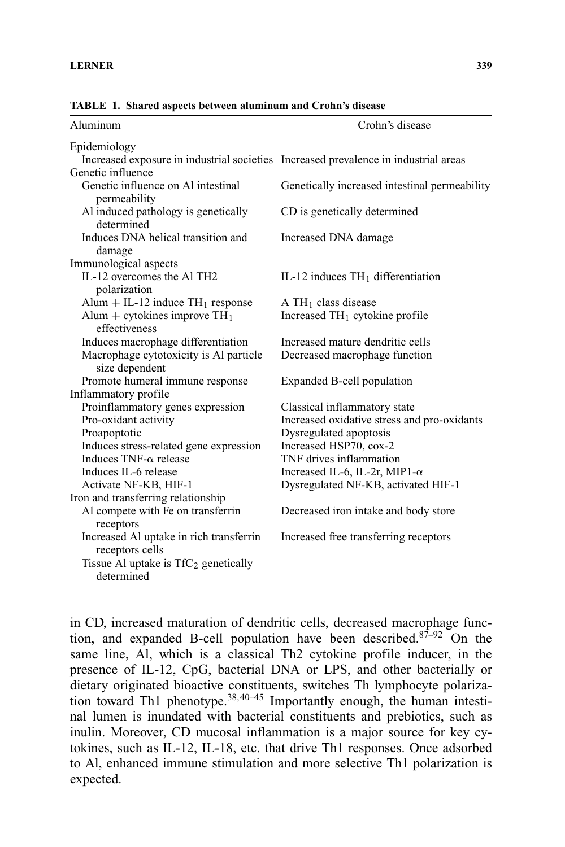receptors

receptors cells

determined

Iron and transferring relationship Al compete with Fe on transferrin

Increased Al uptake in rich transferrin

Tissue Al uptake is  $TfC_2$  genetically

| TABLE 1. Shared aspects between aluminum and Crohn's disease                        |                                               |
|-------------------------------------------------------------------------------------|-----------------------------------------------|
| Aluminum                                                                            | Crohn's disease                               |
| Epidemiology                                                                        |                                               |
| Increased exposure in industrial societies Increased prevalence in industrial areas |                                               |
| Genetic influence                                                                   |                                               |
| Genetic influence on Al intestinal<br>permeability                                  | Genetically increased intestinal permeability |
| Al induced pathology is genetically<br>determined                                   | CD is genetically determined                  |
| Induces DNA helical transition and<br>damage                                        | Increased DNA damage                          |
| Immunological aspects                                                               |                                               |
| IL-12 overcomes the Al TH <sub>2</sub><br>polarization                              | IL-12 induces $TH_1$ differentiation          |
| Alum $+$ IL-12 induce TH <sub>1</sub> response                                      | $A TH1$ class disease                         |
| Alum + cytokines improve $TH_1$<br>effectiveness                                    | Increased $TH_1$ cytokine profile             |
| Induces macrophage differentiation                                                  | Increased mature dendritic cells              |
| Macrophage cytotoxicity is Al particle<br>size dependent                            | Decreased macrophage function                 |
| Promote humeral immune response                                                     | Expanded B-cell population                    |
| Inflammatory profile                                                                |                                               |
| Proinflammatory genes expression                                                    | Classical inflammatory state                  |
| Pro-oxidant activity                                                                | Increased oxidative stress and pro-oxidants   |
| Proapoptotic                                                                        | Dysregulated apoptosis                        |

Decreased iron intake and body store

Increased free transferring receptors

**TABLE 1. Sha** 

Induces stress-related gene expression Increased HSP70, cox-2 Induces  $TNF-\alpha$  release  $TNF$  drives inflammation Induces IL-6 release Increased IL-6, IL-2r, MIP1- $\alpha$ Activate NF-KB, HIF-1 Dysregulated NF-KB, activated HIF-1

in CD, increased maturation of dendritic cells, decreased macrophage function, and expanded B-cell population have been described.<sup>87-92</sup> On the same line, Al, which is a classical Th2 cytokine profile inducer, in the presence of IL-12, CpG, bacterial DNA or LPS, and other bacterially or dietary originated bioactive constituents, switches Th lymphocyte polarization toward Th1 phenotype.<sup>38,40–45</sup> Importantly enough, the human intestinal lumen is inundated with bacterial constituents and prebiotics, such as inulin. Moreover, CD mucosal inflammation is a major source for key cytokines, such as IL-12, IL-18, etc. that drive Th1 responses. Once adsorbed to Al, enhanced immune stimulation and more selective Th1 polarization is expected.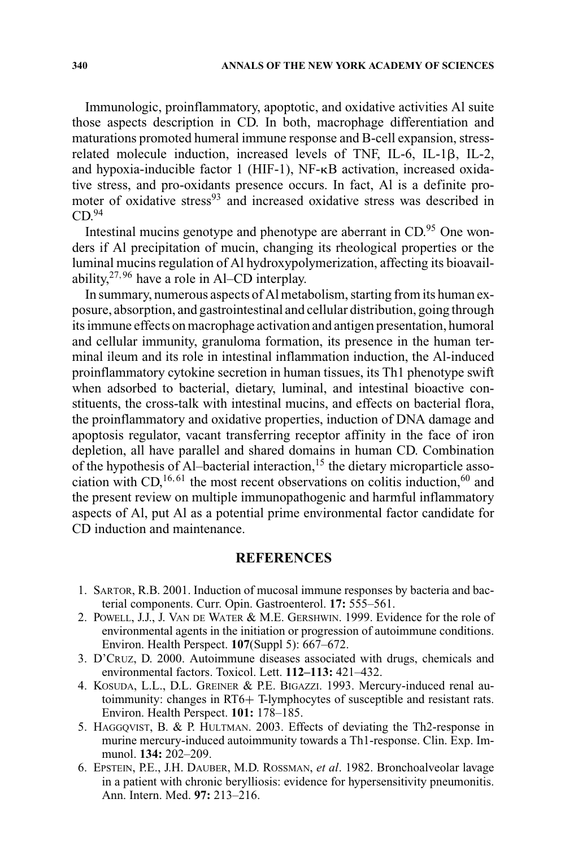Immunologic, proinflammatory, apoptotic, and oxidative activities Al suite those aspects description in CD. In both, macrophage differentiation and maturations promoted humeral immune response and B-cell expansion, stressrelated molecule induction, increased levels of TNF, IL-6, IL-1ß, IL-2, and hypoxia-inducible factor 1 (HIF-1),  $NF-\kappa B$  activation, increased oxidative stress, and pro-oxidants presence occurs. In fact, Al is a definite promoter of oxidative stress<sup>93</sup> and increased oxidative stress was described in  $CD<sup>94</sup>$ 

Intestinal mucins genotype and phenotype are aberrant in CD.<sup>95</sup> One wonders if Al precipitation of mucin, changing its rheological properties or the luminal mucins regulation of Al hydroxypolymerization, affecting its bioavailability,  $27,96$  have a role in Al–CD interplay.

In summary, numerous aspects of Al metabolism, starting from its human exposure, absorption, and gastrointestinal and cellular distribution, going through its immune effects on macrophage activation and antigen presentation, humoral and cellular immunity, granuloma formation, its presence in the human terminal ileum and its role in intestinal inflammation induction, the Al-induced proinflammatory cytokine secretion in human tissues, its Th1 phenotype swift when adsorbed to bacterial, dietary, luminal, and intestinal bioactive constituents, the cross-talk with intestinal mucins, and effects on bacterial flora, the proinflammatory and oxidative properties, induction of DNA damage and apoptosis regulator, vacant transferring receptor affinity in the face of iron depletion, all have parallel and shared domains in human CD. Combination of the hypothesis of Al–bacterial interaction,<sup>15</sup> the dietary microparticle association with CD,<sup>16,61</sup> the most recent observations on colitis induction,<sup>60</sup> and the present review on multiple immunopathogenic and harmful inflammatory aspects of Al, put Al as a potential prime environmental factor candidate for CD induction and maintenance.

# **REFERENCES**

- 1. SARTOR, R.B. 2001. Induction of mucosal immune responses by bacteria and bacterial components. Curr. Opin. Gastroenterol. **17:** 555–561.
- 2. POWELL, J.J., J. VAN DE WATER & M.E. GERSHWIN. 1999. Evidence for the role of environmental agents in the initiation or progression of autoimmune conditions. Environ. Health Perspect. **107**(Suppl 5): 667–672.
- 3. D'CRUZ, D. 2000. Autoimmune diseases associated with drugs, chemicals and environmental factors. Toxicol. Lett. **112–113:** 421–432.
- 4. KOSUDA, L.L., D.L. GREINER & P.E. BIGAZZI. 1993. Mercury-induced renal autoimmunity: changes in RT6+ T-lymphocytes of susceptible and resistant rats. Environ. Health Perspect. **101:** 178–185.
- 5. HAGGQVIST, B. & P. HULTMAN. 2003. Effects of deviating the Th2-response in murine mercury-induced autoimmunity towards a Th1-response. Clin. Exp. Immunol. **134:** 202–209.
- 6. EPSTEIN, P.E., J.H. DAUBER, M.D. ROSSMAN, *et al*. 1982. Bronchoalveolar lavage in a patient with chronic berylliosis: evidence for hypersensitivity pneumonitis. Ann. Intern. Med. **97:** 213–216.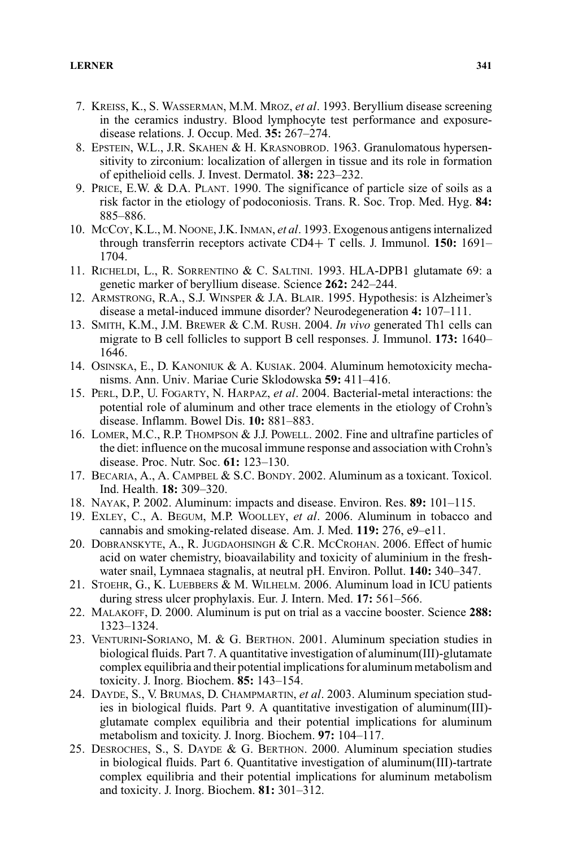- 7. KREISS, K., S. WASSERMAN, M.M. MROZ, *et al*. 1993. Beryllium disease screening in the ceramics industry. Blood lymphocyte test performance and exposuredisease relations. J. Occup. Med. **35:** 267–274.
- 8. EPSTEIN, W.L., J.R. SKAHEN & H. KRASNOBROD. 1963. Granulomatous hypersensitivity to zirconium: localization of allergen in tissue and its role in formation of epithelioid cells. J. Invest. Dermatol. **38:** 223–232.
- 9. PRICE, E.W. & D.A. PLANT. 1990. The significance of particle size of soils as a risk factor in the etiology of podoconiosis. Trans. R. Soc. Trop. Med. Hyg. **84:** 885–886.
- 10. MCCOY, K.L., M. NOONE, J.K. INMAN, *et al*. 1993. Exogenous antigens internalized through transferrin receptors activate CD4+ T cells. J. Immunol. **150:** 1691– 1704.
- 11. RICHELDI, L., R. SORRENTINO & C. SALTINI. 1993. HLA-DPB1 glutamate 69: a genetic marker of beryllium disease. Science **262:** 242–244.
- 12. ARMSTRONG, R.A., S.J. WINSPER & J.A. BLAIR. 1995. Hypothesis: is Alzheimer's disease a metal-induced immune disorder? Neurodegeneration **4:** 107–111.
- 13. SMITH, K.M., J.M. BREWER & C.M. RUSH. 2004. *In vivo* generated Th1 cells can migrate to B cell follicles to support B cell responses. J. Immunol. **173:** 1640– 1646.
- 14. OSINSKA, E., D. KANONIUK & A. KUSIAK. 2004. Aluminum hemotoxicity mechanisms. Ann. Univ. Mariae Curie Sklodowska **59:** 411–416.
- 15. PERL, D.P., U. FOGARTY, N. HARPAZ, *et al*. 2004. Bacterial-metal interactions: the potential role of aluminum and other trace elements in the etiology of Crohn's disease. Inflamm. Bowel Dis. **10:** 881–883.
- 16. LOMER, M.C., R.P. THOMPSON & J.J. POWELL. 2002. Fine and ultrafine particles of the diet: influence on the mucosal immune response and association with Crohn's disease. Proc. Nutr. Soc. **61:** 123–130.
- 17. BECARIA, A., A. CAMPBEL & S.C. BONDY. 2002. Aluminum as a toxicant. Toxicol. Ind. Health. **18:** 309–320.
- 18. NAYAK, P. 2002. Aluminum: impacts and disease. Environ. Res. **89:** 101–115.
- 19. EXLEY, C., A. BEGUM, M.P. WOOLLEY, *et al*. 2006. Aluminum in tobacco and cannabis and smoking-related disease. Am. J. Med. **119:** 276, e9–e11.
- 20. DOBRANSKYTE, A., R. JUGDAOHSINGH & C.R. MCCROHAN. 2006. Effect of humic acid on water chemistry, bioavailability and toxicity of aluminium in the freshwater snail, Lymnaea stagnalis, at neutral pH. Environ. Pollut. **140:** 340–347.
- 21. STOEHR, G., K. LUEBBERS & M. WILHELM. 2006. Aluminum load in ICU patients during stress ulcer prophylaxis. Eur. J. Intern. Med. **17:** 561–566.
- 22. MALAKOFF, D. 2000. Aluminum is put on trial as a vaccine booster. Science **288:** 1323–1324.
- 23. VENTURINI-SORIANO, M. & G. BERTHON. 2001. Aluminum speciation studies in biological fluids. Part 7. A quantitative investigation of aluminum(III)-glutamate complex equilibria and their potential implications for aluminum metabolism and toxicity. J. Inorg. Biochem. **85:** 143–154.
- 24. DAYDE, S., V. BRUMAS, D. CHAMPMARTIN, *et al*. 2003. Aluminum speciation studies in biological fluids. Part 9. A quantitative investigation of aluminum(III) glutamate complex equilibria and their potential implications for aluminum metabolism and toxicity. J. Inorg. Biochem. **97:** 104–117.
- 25. DESROCHES, S., S. DAYDE & G. BERTHON. 2000. Aluminum speciation studies in biological fluids. Part 6. Quantitative investigation of aluminum(III)-tartrate complex equilibria and their potential implications for aluminum metabolism and toxicity. J. Inorg. Biochem. **81:** 301–312.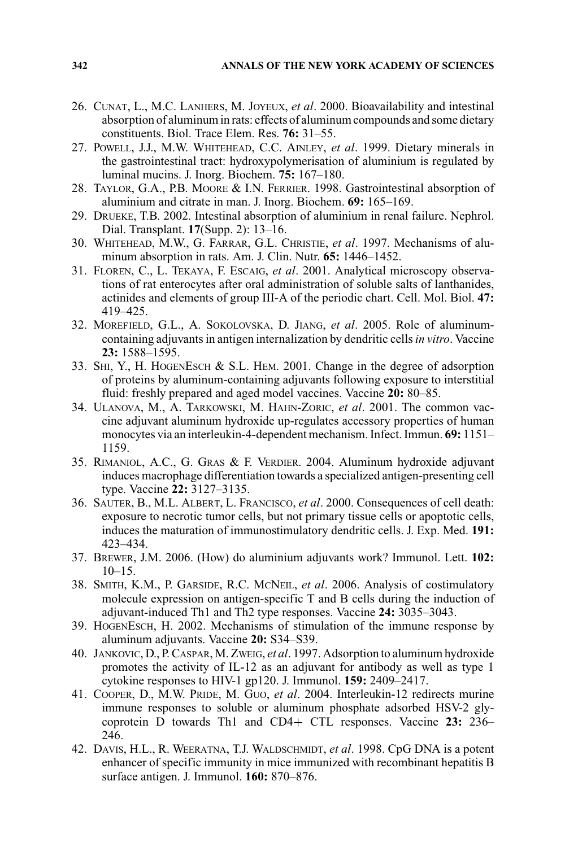- 26. CUNAT, L., M.C. LANHERS, M. JOYEUX, *et al*. 2000. Bioavailability and intestinal absorption of aluminum in rats: effects of aluminum compounds and some dietary constituents. Biol. Trace Elem. Res. **76:** 31–55.
- 27. POWELL, J.J., M.W. WHITEHEAD, C.C. AINLEY, *et al*. 1999. Dietary minerals in the gastrointestinal tract: hydroxypolymerisation of aluminium is regulated by luminal mucins. J. Inorg. Biochem. **75:** 167–180.
- 28. TAYLOR, G.A., P.B. MOORE & I.N. FERRIER. 1998. Gastrointestinal absorption of aluminium and citrate in man. J. Inorg. Biochem. **69:** 165–169.
- 29. DRUEKE, T.B. 2002. Intestinal absorption of aluminium in renal failure. Nephrol. Dial. Transplant. **17**(Supp. 2): 13–16.
- 30. WHITEHEAD, M.W., G. FARRAR, G.L. CHRISTIE, *et al*. 1997. Mechanisms of aluminum absorption in rats. Am. J. Clin. Nutr. **65:** 1446–1452.
- 31. FLOREN, C., L. TEKAYA, F. ESCAIG, *et al*. 2001. Analytical microscopy observations of rat enterocytes after oral administration of soluble salts of lanthanides, actinides and elements of group III-A of the periodic chart. Cell. Mol. Biol. **47:** 419–425.
- 32. MOREFIELD, G.L., A. SOKOLOVSKA, D. JIANG, *et al*. 2005. Role of aluminumcontaining adjuvants in antigen internalization by dendritic cells*in vitro*. Vaccine **23:** 1588–1595.
- 33. SHI, Y., H. HOGENESCH & S.L. HEM. 2001. Change in the degree of adsorption of proteins by aluminum-containing adjuvants following exposure to interstitial fluid: freshly prepared and aged model vaccines. Vaccine **20:** 80–85.
- 34. ULANOVA, M., A. TARKOWSKI, M. HAHN-ZORIC, *et al*. 2001. The common vaccine adjuvant aluminum hydroxide up-regulates accessory properties of human monocytes via an interleukin-4-dependent mechanism. Infect. Immun. **69:** 1151– 1159.
- 35. RIMANIOL, A.C., G. GRAS & F. VERDIER. 2004. Aluminum hydroxide adjuvant induces macrophage differentiation towards a specialized antigen-presenting cell type. Vaccine **22:** 3127–3135.
- 36. SAUTER, B., M.L. ALBERT, L. FRANCISCO, *et al*. 2000. Consequences of cell death: exposure to necrotic tumor cells, but not primary tissue cells or apoptotic cells, induces the maturation of immunostimulatory dendritic cells. J. Exp. Med. **191:** 423–434.
- 37. BREWER, J.M. 2006. (How) do aluminium adjuvants work? Immunol. Lett. **102:**  $10-15.$
- 38. SMITH, K.M., P. GARSIDE, R.C. MCNEIL, *et al*. 2006. Analysis of costimulatory molecule expression on antigen-specific T and B cells during the induction of adjuvant-induced Th1 and Th2 type responses. Vaccine **24:** 3035–3043.
- 39. HOGENESCH, H. 2002. Mechanisms of stimulation of the immune response by aluminum adjuvants. Vaccine **20:** S34–S39.
- 40. JANKOVIC, D., P. CASPAR, M. ZWEIG, *et al*. 1997. Adsorption to aluminum hydroxide promotes the activity of IL-12 as an adjuvant for antibody as well as type 1 cytokine responses to HIV-1 gp120. J. Immunol. **159:** 2409–2417.
- 41. COOPER, D., M.W. PRIDE, M. GUO, *et al*. 2004. Interleukin-12 redirects murine immune responses to soluble or aluminum phosphate adsorbed HSV-2 glycoprotein D towards Th1 and CD4+ CTL responses. Vaccine **23:** 236– 246.
- 42. DAVIS, H.L., R. WEERATNA, T.J. WALDSCHMIDT, *et al*. 1998. CpG DNA is a potent enhancer of specific immunity in mice immunized with recombinant hepatitis B surface antigen. J. Immunol. **160:** 870–876.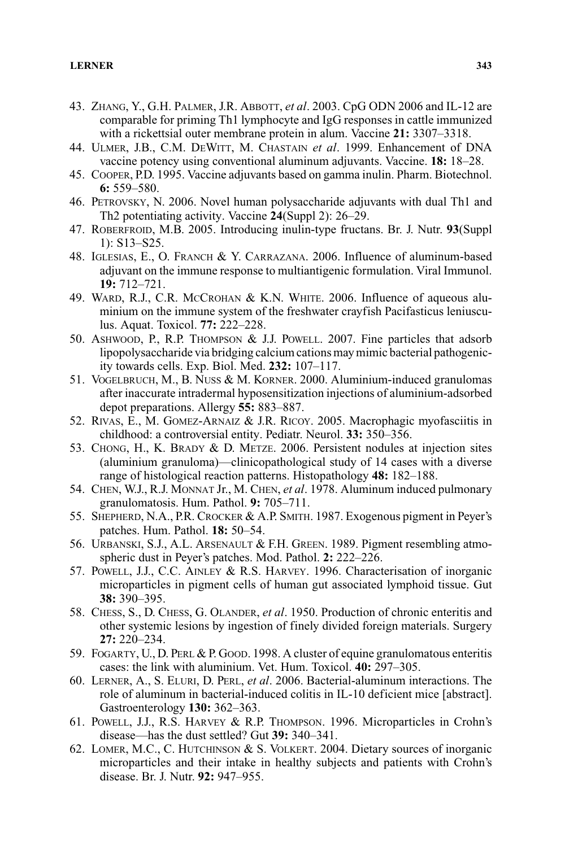- 43. ZHANG, Y., G.H. PALMER, J.R. ABBOTT, *et al*. 2003. CpG ODN 2006 and IL-12 are comparable for priming Th1 lymphocyte and IgG responses in cattle immunized with a rickettsial outer membrane protein in alum. Vaccine **21:** 3307–3318.
- 44. ULMER, J.B., C.M. DEWITT, M. CHASTAIN *et al*. 1999. Enhancement of DNA vaccine potency using conventional aluminum adjuvants. Vaccine. **18:** 18–28.
- 45. COOPER, P.D. 1995. Vaccine adjuvants based on gamma inulin. Pharm. Biotechnol. **6:** 559–580.
- 46. PETROVSKY, N. 2006. Novel human polysaccharide adjuvants with dual Th1 and Th2 potentiating activity. Vaccine **24**(Suppl 2): 26–29.
- 47. ROBERFROID, M.B. 2005. Introducing inulin-type fructans. Br. J. Nutr. **93**(Suppl 1): S13–S25.
- 48. IGLESIAS, E., O. FRANCH & Y. CARRAZANA. 2006. Influence of aluminum-based adjuvant on the immune response to multiantigenic formulation. Viral Immunol. **19:** 712–721.
- 49. WARD, R.J., C.R. MCCROHAN & K.N. WHITE. 2006. Influence of aqueous aluminium on the immune system of the freshwater crayfish Pacifasticus leniusculus. Aquat. Toxicol. **77:** 222–228.
- 50. ASHWOOD, P., R.P. THOMPSON & J.J. POWELL. 2007. Fine particles that adsorb lipopolysaccharide via bridging calcium cations may mimic bacterial pathogenicity towards cells. Exp. Biol. Med. **232:** 107–117.
- 51. VOGELBRUCH, M., B. NUSS & M. KORNER. 2000. Aluminium-induced granulomas after inaccurate intradermal hyposensitization injections of aluminium-adsorbed depot preparations. Allergy **55:** 883–887.
- 52. RIVAS, E., M. GOMEZ-ARNAIZ & J.R. RICOY. 2005. Macrophagic myofasciitis in childhood: a controversial entity. Pediatr. Neurol. **33:** 350–356.
- 53. CHONG, H., K. BRADY & D. METZE. 2006. Persistent nodules at injection sites (aluminium granuloma)—clinicopathological study of 14 cases with a diverse range of histological reaction patterns. Histopathology **48:** 182–188.
- 54. CHEN, W.J., R.J. MONNAT Jr., M. CHEN, *et al*. 1978. Aluminum induced pulmonary granulomatosis. Hum. Pathol. **9:** 705–711.
- 55. SHEPHERD, N.A., P.R. CROCKER & A.P. SMITH. 1987. Exogenous pigment in Peyer's patches. Hum. Pathol. **18:** 50–54.
- 56. URBANSKI, S.J., A.L. ARSENAULT & F.H. GREEN. 1989. Pigment resembling atmospheric dust in Peyer's patches. Mod. Pathol. **2:** 222–226.
- 57. POWELL, J.J., C.C. AINLEY & R.S. HARVEY. 1996. Characterisation of inorganic microparticles in pigment cells of human gut associated lymphoid tissue. Gut **38:** 390–395.
- 58. CHESS, S., D. CHESS, G. OLANDER, *et al*. 1950. Production of chronic enteritis and other systemic lesions by ingestion of finely divided foreign materials. Surgery **27:** 220–234.
- 59. FOGARTY, U., D. PERL & P. GOOD. 1998. A cluster of equine granulomatous enteritis cases: the link with aluminium. Vet. Hum. Toxicol. **40:** 297–305.
- 60. LERNER, A., S. ELURI, D. PERL, *et al*. 2006. Bacterial-aluminum interactions. The role of aluminum in bacterial-induced colitis in IL-10 deficient mice [abstract]. Gastroenterology **130:** 362–363.
- 61. POWELL, J.J., R.S. HARVEY & R.P. THOMPSON. 1996. Microparticles in Crohn's disease—has the dust settled? Gut **39:** 340–341.
- 62. LOMER, M.C., C. HUTCHINSON & S. VOLKERT. 2004. Dietary sources of inorganic microparticles and their intake in healthy subjects and patients with Crohn's disease. Br. J. Nutr. **92:** 947–955.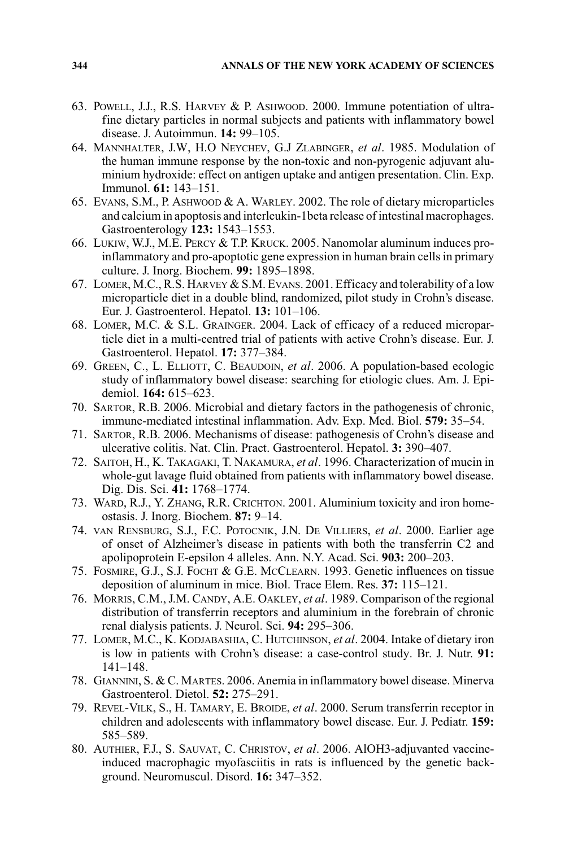- 63. POWELL, J.J., R.S. HARVEY & P. ASHWOOD. 2000. Immune potentiation of ultrafine dietary particles in normal subjects and patients with inflammatory bowel disease. J. Autoimmun. **14:** 99–105.
- 64. MANNHALTER, J.W, H.O NEYCHEV, G.J ZLABINGER, *et al*. 1985. Modulation of the human immune response by the non-toxic and non-pyrogenic adjuvant aluminium hydroxide: effect on antigen uptake and antigen presentation. Clin. Exp. Immunol. **61:** 143–151.
- 65. EVANS, S.M., P. ASHWOOD & A. WARLEY. 2002. The role of dietary microparticles and calcium in apoptosis and interleukin-1beta release of intestinal macrophages. Gastroenterology **123:** 1543–1553.
- 66. LUKIW, W.J., M.E. PERCY & T.P. KRUCK. 2005. Nanomolar aluminum induces proinflammatory and pro-apoptotic gene expression in human brain cells in primary culture. J. Inorg. Biochem. **99:** 1895–1898.
- 67. LOMER, M.C., R.S. HARVEY & S.M. EVANS. 2001. Efficacy and tolerability of a low microparticle diet in a double blind, randomized, pilot study in Crohn's disease. Eur. J. Gastroenterol. Hepatol. **13:** 101–106.
- 68. LOMER, M.C. & S.L. GRAINGER. 2004. Lack of efficacy of a reduced microparticle diet in a multi-centred trial of patients with active Crohn's disease. Eur. J. Gastroenterol. Hepatol. **17:** 377–384.
- 69. GREEN, C., L. ELLIOTT, C. BEAUDOIN, *et al*. 2006. A population-based ecologic study of inflammatory bowel disease: searching for etiologic clues. Am. J. Epidemiol. **164:** 615–623.
- 70. SARTOR, R.B. 2006. Microbial and dietary factors in the pathogenesis of chronic, immune-mediated intestinal inflammation. Adv. Exp. Med. Biol. **579:** 35–54.
- 71. SARTOR, R.B. 2006. Mechanisms of disease: pathogenesis of Crohn's disease and ulcerative colitis. Nat. Clin. Pract. Gastroenterol. Hepatol. **3:** 390–407.
- 72. SAITOH, H., K. TAKAGAKI, T. NAKAMURA, *et al*. 1996. Characterization of mucin in whole-gut lavage fluid obtained from patients with inflammatory bowel disease. Dig. Dis. Sci. **41:** 1768–1774.
- 73. WARD, R.J., Y. ZHANG, R.R. CRICHTON. 2001. Aluminium toxicity and iron homeostasis. J. Inorg. Biochem. **87:** 9–14.
- 74. VAN RENSBURG, S.J., F.C. POTOCNIK, J.N. DE VILLIERS, *et al*. 2000. Earlier age of onset of Alzheimer's disease in patients with both the transferrin C2 and apolipoprotein E-epsilon 4 alleles. Ann. N.Y. Acad. Sci. **903:** 200–203.
- 75. FOSMIRE, G.J., S.J. FOCHT & G.E. MCCLEARN. 1993. Genetic influences on tissue deposition of aluminum in mice. Biol. Trace Elem. Res. **37:** 115–121.
- 76. MORRIS, C.M., J.M. CANDY, A.E. OAKLEY, *et al*. 1989. Comparison of the regional distribution of transferrin receptors and aluminium in the forebrain of chronic renal dialysis patients. J. Neurol. Sci. **94:** 295–306.
- 77. LOMER, M.C., K. KODJABASHIA, C. HUTCHINSON, *et al*. 2004. Intake of dietary iron is low in patients with Crohn's disease: a case-control study. Br. J. Nutr. **91:** 141–148.
- 78. GIANNINI, S. & C. MARTES. 2006. Anemia in inflammatory bowel disease. Minerva Gastroenterol. Dietol. **52:** 275–291.
- 79. REVEL-VILK, S., H. TAMARY, E. BROIDE, *et al*. 2000. Serum transferrin receptor in children and adolescents with inflammatory bowel disease. Eur. J. Pediatr. **159:** 585–589.
- 80. AUTHIER, F.J., S. SAUVAT, C. CHRISTOV, *et al*. 2006. AlOH3-adjuvanted vaccineinduced macrophagic myofasciitis in rats is influenced by the genetic background. Neuromuscul. Disord. **16:** 347–352.